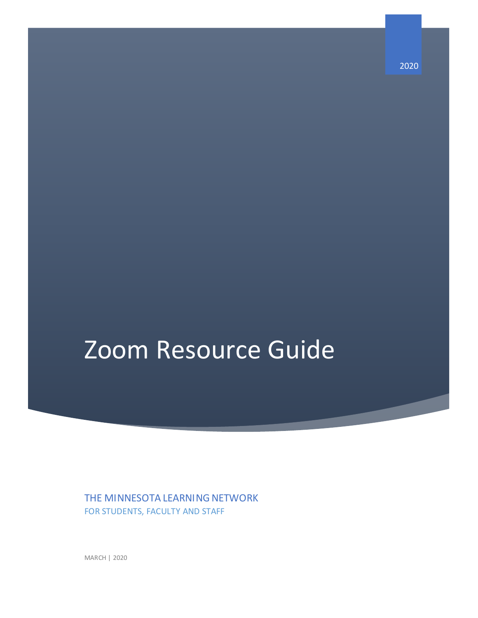# Zoom Resource Guide

THE MINNESOTA LEARNING NETWORK FOR STUDENTS, FACULTY AND STAFF

MARCH | 2020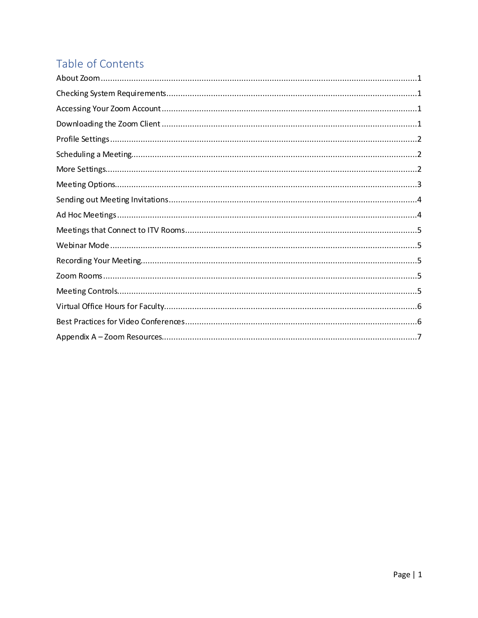# Table of Contents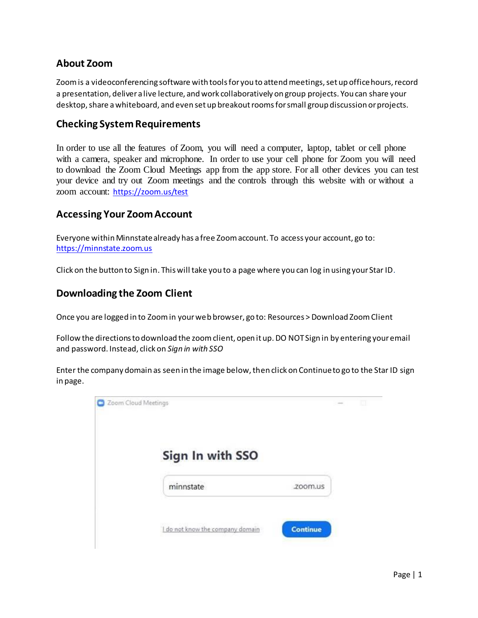#### <span id="page-2-0"></span>**About Zoom**

Zoom is a videoconferencing software with tools for you to attend meetings, set up office hours, record a presentation, deliver a live lecture, and work collaboratively on group projects. You can share your desktop, share a whiteboard, and even set up breakout rooms for small group discussion or projects.

#### <span id="page-2-1"></span>**Checking System Requirements**

In order to use all the features of Zoom, you will need a computer, laptop, tablet or cell phone with a camera, speaker and microphone. In order to use your cell phone for Zoom you will need to download the Zoom Cloud Meetings app from the app store. For all other devices you can test your device and try out Zoom meetings and the controls through this website with or without a zoom account: [https://zoom.us/test](https://nam02.safelinks.protection.outlook.com/?url=https%3A%2F%2Fzoom.us%2Ftest&data=02%7C01%7CHeidi.Andersen%40southcentral.edu%7Cbc520605975d42e2524908d7cc24e0b8%7C5011c7c60ab446ab9ef4fae74a921a7f%7C0%7C0%7C637202331063810600&sdata=1Hgd2rtrhBN2n6fo7iLAQrcfK%2BntIykXW5ni76FJ%2BlQ%3D&reserved=0)

#### <span id="page-2-2"></span>**Accessing Your Zoom Account**

Everyone within Minnstate already has a free Zoom account. To access your account, go to: [https://minnstate.zoom.us](https://nam02.safelinks.protection.outlook.com/?url=https%3A%2F%2Fminnstate.zoom.us%2F&data=02%7C01%7CHeidi.Andersen%40southcentral.edu%7Cbc520605975d42e2524908d7cc24e0b8%7C5011c7c60ab446ab9ef4fae74a921a7f%7C0%7C0%7C637202331063800642&sdata=EPZbAtBisUx4k7CPFVqew02E6g38ilhL%2FIqCJIuCW4A%3D&reserved=0)

Click on the button to Sign in. This will take you to a page where you can log in using your Star ID.

#### <span id="page-2-3"></span>**Downloading the Zoom Client**

Once you are logged in to Zoom in your web browser, go to: Resources > Download Zoom Client

Follow the directions to download the zoom client, open it up. DO NOT Sign in by entering your email and password. Instead, click on *Sign in with SSO*

Enter the company domain as seen in the image below, then click on Continue to go to the Star ID sign in page.

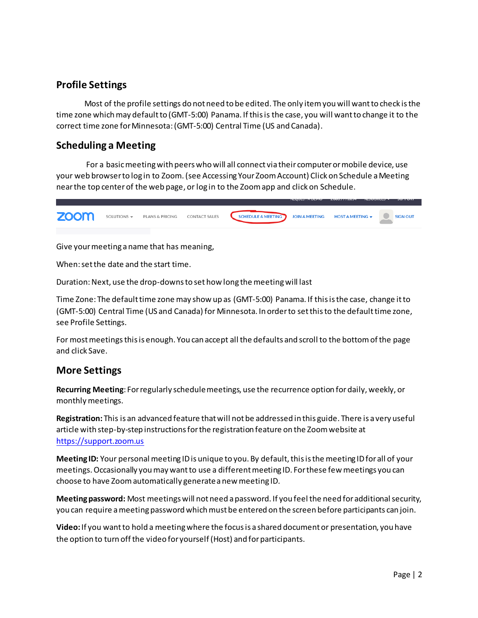## <span id="page-3-0"></span>**Profile Settings**

Most of the profile settings do not need to be edited. The only item you will want to check is the time zone which may default to (GMT-5:00) Panama. If this is the case, you will want to change it to the correct time zone for Minnesota: (GMT-5:00) Central Time (US and Canada).

#### <span id="page-3-1"></span>**Scheduling a Meeting**

For a basic meeting with peers who will all connect via their computer or mobile device, use your web browser to log in to Zoom. (see Accessing Your Zoom Account) Click on Schedule a Meeting near the top centerof the web page, or log in to the Zoom app and click on Schedule.



Give your meeting a name that has meaning,

When: set the date and the start time.

Duration: Next, use the drop-downs to set how long the meeting will last

Time Zone: The default time zone may show up as (GMT-5:00) Panama. If this is the case, change it to (GMT-5:00) Central Time (US and Canada) for Minnesota. In order to set this to the default time zone, see Profile Settings.

For most meetings this is enough. You can accept all the defaults and scroll to the bottom of the page and click Save.

#### <span id="page-3-2"></span>**More Settings**

**Recurring Meeting**: For regularly schedule meetings, use the recurrence option for daily, weekly, or monthlymeetings.

**Registration:** This is an advanced feature that will not be addressed in this guide. There is a very useful article with step-by-step instructions for the registration feature on the Zoom website at [https://support.zoom.us](https://support.zoom.us/)

**Meeting ID:** Your personal meeting ID is unique to you. By default, this is the meeting ID for all of your meetings. Occasionally you may want to use a different meeting ID. For these few meetings you can choose to have Zoom automatically generate a new meeting ID.

**Meeting password:** Most meetings will not need a password. If you feel the need for additional security, you can require a meeting password which must be entered on the screen before participants can join.

**Video:**If you want to hold a meeting where the focus is a shared document or presentation, you have the option to turn off the video for yourself (Host) and for participants.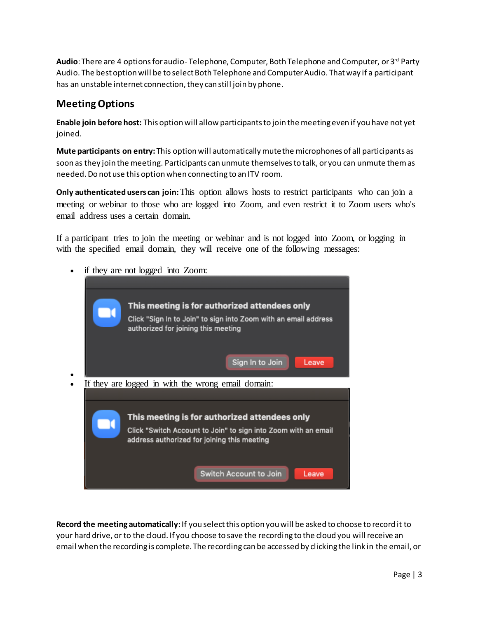**Audio**: There are 4 options for audio- Telephone, Computer, Both Telephone and Computer, or 3rd Party Audio. The best option will be to select Both Telephone and Computer Audio. That way if a participant has an unstable internet connection, they can still join by phone.

# <span id="page-4-0"></span>**Meeting Options**

**Enable join before host:** This option will allow participants to join the meeting even if you have not yet joined.

**Mute participants on entry:** This option will automatically mute the microphones of all participants as soon as they join the meeting. Participants can unmute themselves to talk, or you can unmute them as needed. Do not use this option when connecting to an ITV room.

**Only authenticated users can join:**This option allows hosts to restrict participants who can join a meeting or webinar to those who are logged into Zoom, and even restrict it to Zoom users who's email address uses a certain domain.

If a participant tries to join the meeting or webinar and is not logged into Zoom, or logging in with the specified email domain, they will receive one of the following messages:



**Record the meeting automatically:**If you select this option you will be asked to choose to record it to your hard drive, or to the cloud. If you choose to save the recording to the cloud you will receive an email when the recording is complete. The recording can be accessed by clicking the link in the email, or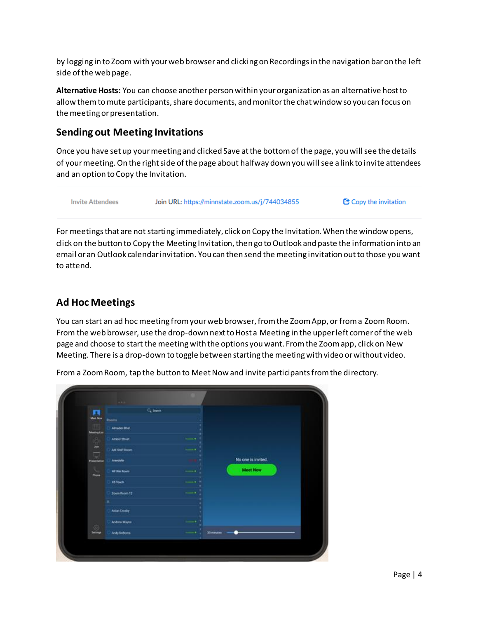by logging in to Zoom with your web browser and clicking on Recordings in the navigation bar on the left side of the web page.

**Alternative Hosts:** You can choose another person within your organization as an alternative host to allow them to mute participants, share documents, and monitor the chat window so you can focus on the meeting or presentation.

#### <span id="page-5-0"></span>**Sending out Meeting Invitations**

Once you have set up your meeting and clicked Save at the bottom of the page, you will see the details of your meeting. On the right side of the page about halfway down you will see a link to invite attendees and an option to Copy the Invitation.

**Invite Attendees** 

Join URL: https://minnstate.zoom.us/j/744034855

Copy the invitation

For meetings that are not starting immediately, click on Copy the Invitation. When the window opens, click on the button to Copy the Meeting Invitation, then go to Outlook and paste the information into an email or an Outlook calendar invitation. You can then send the meeting invitation out to those you want to attend.

# <span id="page-5-1"></span>**Ad Hoc Meetings**

You can start an ad hoc meeting from your web browser, from the Zoom App, or from a Zoom Room. From the web browser, use the drop-down next to Host a Meeting in the upper left corner of the web page and choose to start the meeting with the options you want. From the Zoom app, click on New Meeting. There is a drop-down to toggle between starting the meeting with video or without video.

|                                         | Q seen           |                    |
|-----------------------------------------|------------------|--------------------|
| <b>Meet Now</b><br>Rooms                |                  |                    |
| 围<br>Almaden Blvd.<br>Meeting List      |                  |                    |
| Aniber Street<br>ф                      | $-$              |                    |
| $\frac{1}{\mathbb{R}}$<br>AM Shaft Boom | <b>Service R</b> |                    |
| Arendelia                               | ×                | No one is invited. |
| x<br><b>HF Win Room</b><br>Phone        | $1 - 1$          | <b>Meet Now</b>    |
| <b>KS</b> Touch                         | $1 - 1$          |                    |
| Zoom Room 12                            |                  |                    |
| ×                                       |                  |                    |
| Actas Crosby                            |                  |                    |
| <b>Andrew Wayne</b>                     | <b>South B</b>   |                    |
| 阅<br>Andy DeBorca                       | <b>Service</b> & | 30 minutes         |

From a Zoom Room, tap the button to Meet Now and invite participants from the directory.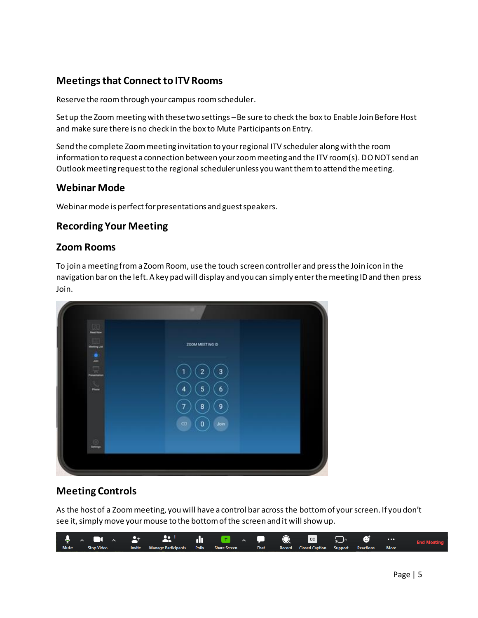# <span id="page-6-0"></span>**Meetings that Connect to ITV Rooms**

Reserve the room through your campus room scheduler.

Set up the Zoom meeting with these two settings - Be sure to check the box to Enable Join Before Host and make sure there is no check in the box to Mute Participants on Entry.

Send the complete Zoom meeting invitation to your regional ITV scheduler along with the room information to request a connection between your zoom meeting and the ITV room(s). DONOT send an Outlook meeting request to the regional scheduler unless you want them to attend the meeting.

#### <span id="page-6-1"></span>**Webinar Mode**

Webinar mode is perfect for presentations and guest speakers.

#### <span id="page-6-2"></span>**Recording Your Meeting**

#### <span id="page-6-3"></span>**Zoom Rooms**

To join a meeting from a Zoom Room, use the touch screen controller and press the Join icon in the navigation bar on the left. A key pad will display and you can simply enter the meeting ID and then press Join.



## <span id="page-6-4"></span>**Meeting Controls**

As the host of a Zoom meeting, you will have a control bar across the bottom of your screen. If you don't see it, simply move your mouse to the bottom of the screen and it will show up.

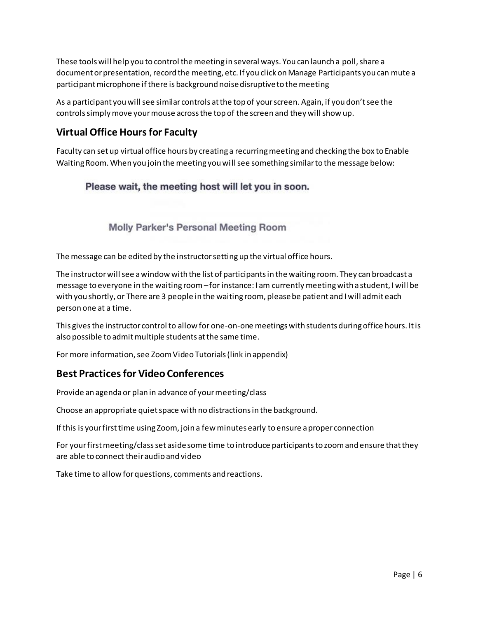These tools will help you to control the meeting in several ways. You can launch a poll, share a document or presentation, record the meeting, etc. If you click on Manage Participants you can mute a participant microphone if there is background noise disruptive to the meeting

As a participant you will see similar controls at the top of your screen. Again, if you don't see the controls simply move your mouse across the top of the screen and they will show up.

# <span id="page-7-0"></span>**Virtual Office Hours for Faculty**

Faculty can set up virtual office hours by creating a recurring meeting and checking the box to Enable Waiting Room. When you join the meeting you will see something similar to the message below:

#### Please wait, the meeting host will let you in soon.

#### Molly Parker's Personal Meeting Room

The message can be edited by the instructor setting up the virtual office hours.

The instructor will see a window with the list of participants in the waiting room. They can broadcast a message to everyone in the waiting room –for instance: I am currently meeting with a student, I will be with you shortly, or There are 3 people in the waiting room, please be patient and I will admit each person one at a time.

This gives the instructor control to allow for one-on-one meetings with students during office hours. It is also possible to admit multiple students at the same time.

For more information, see Zoom Video Tutorials (link in appendix)

## <span id="page-7-1"></span>**Best Practices for Video Conferences**

Provide an agenda or plan in advance of your meeting/class

Choose an appropriate quiet space with no distractions in the background.

If this is your first time using Zoom, join a few minutes early to ensure a proper connection

For your first meeting/class set aside some time to introduce participants to zoom and ensure that they are able to connect their audio and video

Take time to allow for questions, comments and reactions.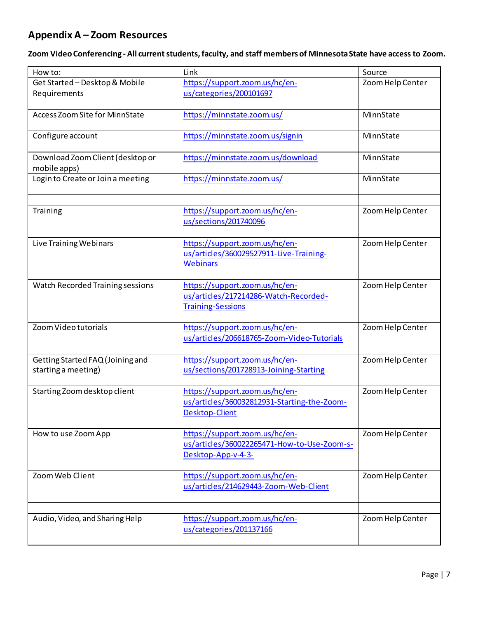# <span id="page-8-0"></span>**Appendix A – Zoom Resources**

**Zoom Video Conferencing - All current students, faculty, and staff members of Minnesota State have access to Zoom.**

| How to:                           | Link                                                          | Source           |
|-----------------------------------|---------------------------------------------------------------|------------------|
| Get Started - Desktop & Mobile    | https://support.zoom.us/hc/en-                                | Zoom Help Center |
| Requirements                      | us/categories/200101697                                       |                  |
| Access Zoom Site for MinnState    | https://minnstate.zoom.us/                                    | MinnState        |
|                                   |                                                               |                  |
| Configure account                 | https://minnstate.zoom.us/signin                              | MinnState        |
| Download Zoom Client (desktop or  | https://minnstate.zoom.us/download                            | MinnState        |
| mobile apps)                      |                                                               |                  |
| Login to Create or Join a meeting | https://minnstate.zoom.us/                                    | MinnState        |
|                                   |                                                               |                  |
| Training                          | https://support.zoom.us/hc/en-<br>us/sections/201740096       | Zoom Help Center |
|                                   |                                                               |                  |
| Live Training Webinars            | https://support.zoom.us/hc/en-                                | Zoom Help Center |
|                                   | us/articles/360029527911-Live-Training-                       |                  |
|                                   | <b>Webinars</b>                                               |                  |
| Watch Recorded Training sessions  | https://support.zoom.us/hc/en-                                | Zoom Help Center |
|                                   | us/articles/217214286-Watch-Recorded-                         |                  |
|                                   | <b>Training-Sessions</b>                                      |                  |
|                                   |                                                               |                  |
| Zoom Video tutorials              | https://support.zoom.us/hc/en-                                | Zoom Help Center |
|                                   | us/articles/206618765-Zoom-Video-Tutorials                    |                  |
| Getting Started FAQ (Joining and  | https://support.zoom.us/hc/en-                                | Zoom Help Center |
| starting a meeting)               | us/sections/201728913-Joining-Starting                        |                  |
|                                   |                                                               |                  |
| Starting Zoom desktop client      | https://support.zoom.us/hc/en-                                | Zoom Help Center |
|                                   | us/articles/360032812931-Starting-the-Zoom-<br>Desktop-Client |                  |
|                                   |                                                               |                  |
| How to use Zoom App               | https://support.zoom.us/hc/en-                                | Zoom Help Center |
|                                   | us/articles/360022265471-How-to-Use-Zoom-s-                   |                  |
|                                   | Desktop-App-v-4-3-                                            |                  |
| Zoom Web Client                   | https://support.zoom.us/hc/en-                                | Zoom Help Center |
|                                   | us/articles/214629443-Zoom-Web-Client                         |                  |
|                                   |                                                               |                  |
|                                   |                                                               |                  |
| Audio, Video, and Sharing Help    | https://support.zoom.us/hc/en-<br>us/categories/201137166     | Zoom Help Center |
|                                   |                                                               |                  |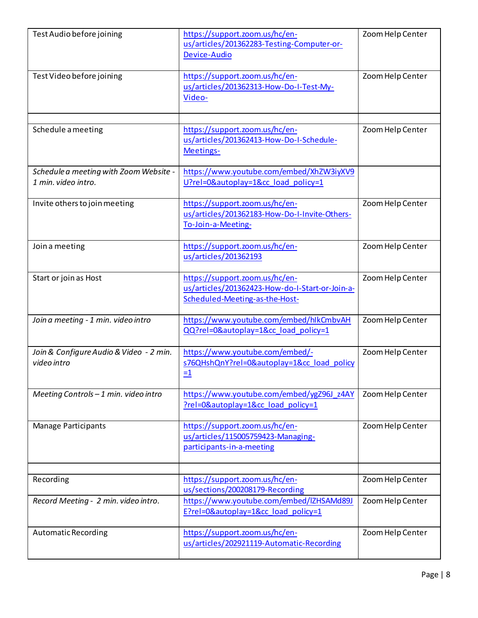| Test Audio before joining                                     | https://support.zoom.us/hc/en-<br>us/articles/201362283-Testing-Computer-or-<br>Device-Audio                        | Zoom Help Center |
|---------------------------------------------------------------|---------------------------------------------------------------------------------------------------------------------|------------------|
| Test Video before joining                                     | https://support.zoom.us/hc/en-<br>us/articles/201362313-How-Do-I-Test-My-<br>Video-                                 | Zoom Help Center |
| Schedule a meeting                                            | https://support.zoom.us/hc/en-                                                                                      | Zoom Help Center |
|                                                               | us/articles/201362413-How-Do-I-Schedule-<br>Meetings-                                                               |                  |
| Schedule a meeting with Zoom Website -<br>1 min. video intro. | https://www.youtube.com/embed/XhZW3iyXV9<br>U?rel=0&autoplay=1&cc_load_policy=1                                     |                  |
| Invite others to join meeting                                 | https://support.zoom.us/hc/en-<br>us/articles/201362183-How-Do-I-Invite-Others-<br>To-Join-a-Meeting-               | Zoom Help Center |
| Join a meeting                                                | https://support.zoom.us/hc/en-<br>us/articles/201362193                                                             | Zoom Help Center |
| Start or join as Host                                         | https://support.zoom.us/hc/en-<br>us/articles/201362423-How-do-I-Start-or-Join-a-<br>Scheduled-Meeting-as-the-Host- | Zoom Help Center |
| Join a meeting - 1 min. video intro                           | https://www.youtube.com/embed/hlkCmbvAH<br>QQ?rel=0&autoplay=1&cc load policy=1                                     | Zoom Help Center |
| Join & Configure Audio & Video - 2 min.<br>video intro        | https://www.youtube.com/embed/-<br>s76QHshQnY?rel=0&autoplay=1&cc_load_policy<br>$=1$                               | Zoom Help Center |
| Meeting Controls - 1 min. video intro                         | https://www.youtube.com/embed/ygZ96J_z4AY<br>?rel=0&autoplay=1&cc_load_policy=1                                     | Zoom Help Center |
| <b>Manage Participants</b>                                    | https://support.zoom.us/hc/en-<br>us/articles/115005759423-Managing-<br>participants-in-a-meeting                   | Zoom Help Center |
| Recording                                                     | https://support.zoom.us/hc/en-                                                                                      | Zoom Help Center |
|                                                               | us/sections/200208179-Recording                                                                                     |                  |
| Record Meeting - 2 min. video intro.                          | https://www.youtube.com/embed/IZHSAMd89J<br>E?rel=0&autoplay=1&cc_load_policy=1                                     | Zoom Help Center |
| Automatic Recording                                           | https://support.zoom.us/hc/en-<br>us/articles/202921119-Automatic-Recording                                         | Zoom Help Center |